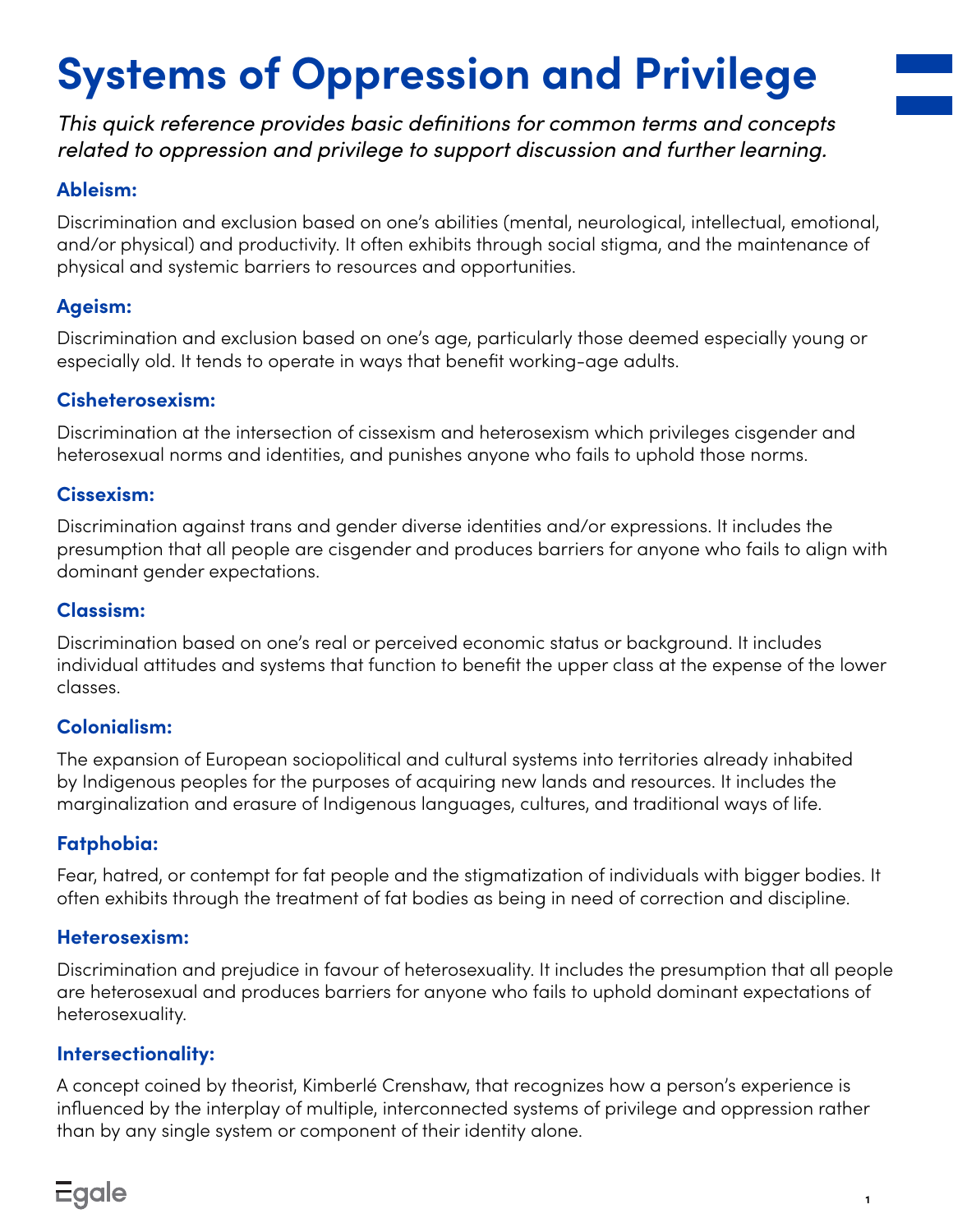# **Systems of Oppression and Privilege**

*This quick reference provides basic definitions for common terms and concepts related to oppression and privilege to support discussion and further learning.*

## **Ableism:**

Discrimination and exclusion based on one's abilities (mental, neurological, intellectual, emotional, and/or physical) and productivity. It often exhibits through social stigma, and the maintenance of physical and systemic barriers to resources and opportunities.

## **Ageism:**

Discrimination and exclusion based on one's age, particularly those deemed especially young or especially old. It tends to operate in ways that benefit working-age adults.

# **Cisheterosexism:**

Discrimination at the intersection of cissexism and heterosexism which privileges cisgender and heterosexual norms and identities, and punishes anyone who fails to uphold those norms.

#### **Cissexism:**

Discrimination against trans and gender diverse identities and/or expressions. It includes the presumption that all people are cisgender and produces barriers for anyone who fails to align with dominant gender expectations.

### **Classism:**

Discrimination based on one's real or perceived economic status or background. It includes individual attitudes and systems that function to benefit the upper class at the expense of the lower classes.

# **Colonialism:**

The expansion of European sociopolitical and cultural systems into territories already inhabited by Indigenous peoples for the purposes of acquiring new lands and resources. It includes the marginalization and erasure of Indigenous languages, cultures, and traditional ways of life.

# **Fatphobia:**

Fear, hatred, or contempt for fat people and the stigmatization of individuals with bigger bodies. It often exhibits through the treatment of fat bodies as being in need of correction and discipline.

#### **Heterosexism:**

Discrimination and prejudice in favour of heterosexuality. It includes the presumption that all people are heterosexual and produces barriers for anyone who fails to uphold dominant expectations of heterosexuality.

#### **Intersectionality:**

A concept coined by theorist, Kimberlé Crenshaw, that recognizes how a person's experience is influenced by the interplay of multiple, interconnected systems of privilege and oppression rather than by any single system or component of their identity alone.